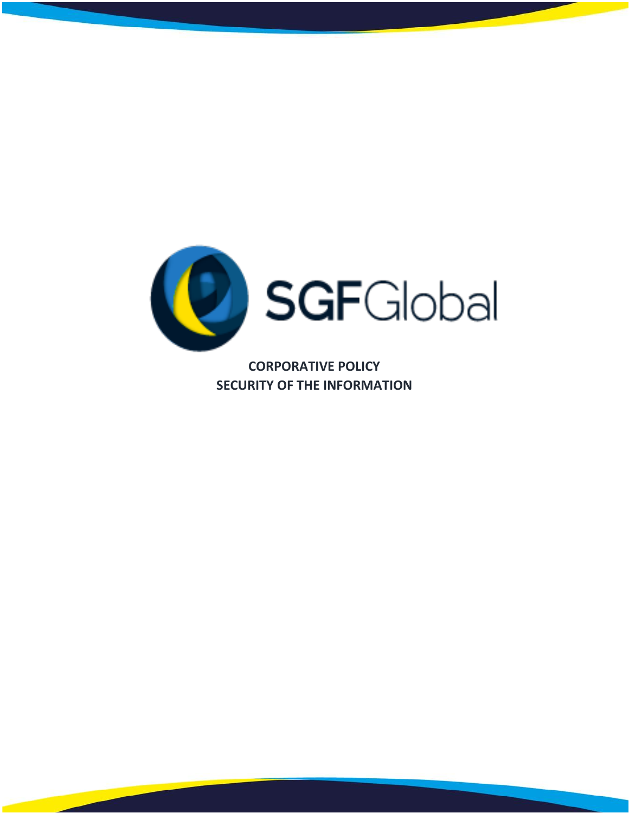

**CORPORATIVE POLICY SECURITY OF THE INFORMATION**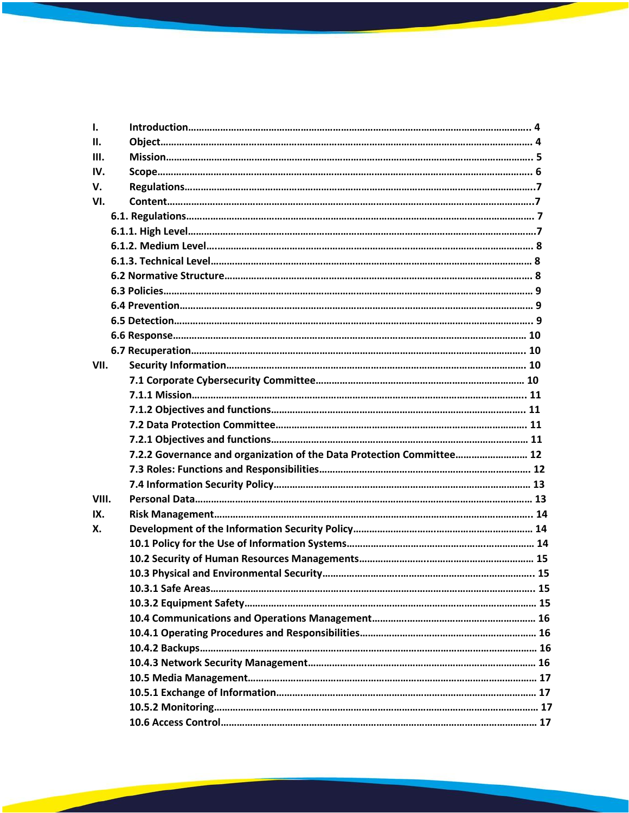| $\mathbf{L}$ |                                                                       |  |
|--------------|-----------------------------------------------------------------------|--|
| II.          |                                                                       |  |
| Ш.           |                                                                       |  |
| IV.          |                                                                       |  |
| V.           |                                                                       |  |
| VI.          |                                                                       |  |
|              |                                                                       |  |
|              |                                                                       |  |
|              |                                                                       |  |
|              |                                                                       |  |
|              |                                                                       |  |
|              |                                                                       |  |
|              |                                                                       |  |
|              |                                                                       |  |
|              |                                                                       |  |
|              |                                                                       |  |
| VII.         |                                                                       |  |
|              |                                                                       |  |
|              |                                                                       |  |
|              |                                                                       |  |
|              |                                                                       |  |
|              |                                                                       |  |
|              | 7.2.2 Governance and organization of the Data Protection Committee 12 |  |
|              |                                                                       |  |
|              |                                                                       |  |
| VIII.        |                                                                       |  |
| IX.          |                                                                       |  |
| Х.           |                                                                       |  |
|              |                                                                       |  |
|              |                                                                       |  |
|              |                                                                       |  |
|              |                                                                       |  |
|              |                                                                       |  |
|              |                                                                       |  |
|              |                                                                       |  |
|              |                                                                       |  |
|              |                                                                       |  |
|              |                                                                       |  |
|              |                                                                       |  |
|              |                                                                       |  |
|              |                                                                       |  |
|              |                                                                       |  |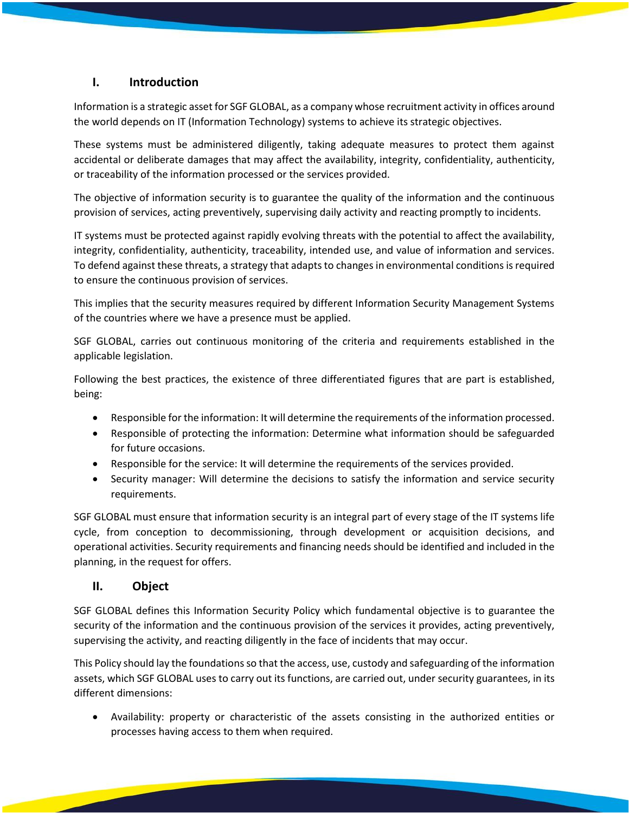# **I. Introduction**

Information is a strategic asset for SGF GLOBAL, as a company whose recruitment activity in offices around the world depends on IT (Information Technology) systems to achieve its strategic objectives.

These systems must be administered diligently, taking adequate measures to protect them against accidental or deliberate damages that may affect the availability, integrity, confidentiality, authenticity, or traceability of the information processed or the services provided.

The objective of information security is to guarantee the quality of the information and the continuous provision of services, acting preventively, supervising daily activity and reacting promptly to incidents.

IT systems must be protected against rapidly evolving threats with the potential to affect the availability, integrity, confidentiality, authenticity, traceability, intended use, and value of information and services. To defend against these threats, a strategy that adapts to changes in environmental conditions is required to ensure the continuous provision of services.

This implies that the security measures required by different Information Security Management Systems of the countries where we have a presence must be applied.

SGF GLOBAL, carries out continuous monitoring of the criteria and requirements established in the applicable legislation.

Following the best practices, the existence of three differentiated figures that are part is established, being:

- Responsible for the information: It will determine the requirements of the information processed.
- Responsible of protecting the information: Determine what information should be safeguarded for future occasions.
- Responsible for the service: It will determine the requirements of the services provided.
- Security manager: Will determine the decisions to satisfy the information and service security requirements.

SGF GLOBAL must ensure that information security is an integral part of every stage of the IT systems life cycle, from conception to decommissioning, through development or acquisition decisions, and operational activities. Security requirements and financing needs should be identified and included in the planning, in the request for offers.

# **II. Object**

SGF GLOBAL defines this Information Security Policy which fundamental objective is to guarantee the security of the information and the continuous provision of the services it provides, acting preventively, supervising the activity, and reacting diligently in the face of incidents that may occur.

This Policy should lay the foundations so that the access, use, custody and safeguarding of the information assets, which SGF GLOBAL uses to carry out its functions, are carried out, under security guarantees, in its different dimensions:

• Availability: property or characteristic of the assets consisting in the authorized entities or processes having access to them when required.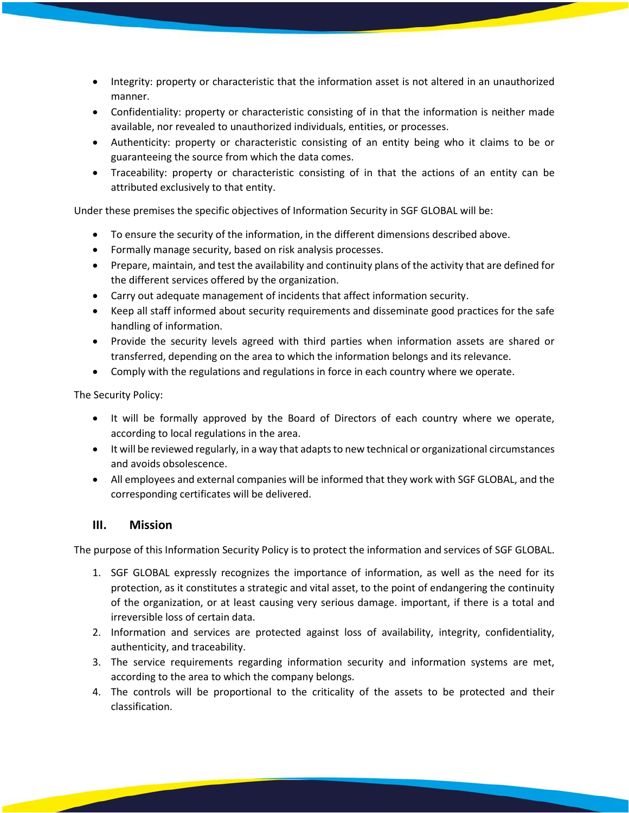- Integrity: property or characteristic that the information asset is not altered in an unauthorized manner.
- Confidentiality: property or characteristic consisting of in that the information is neither made available, nor revealed to unauthorized individuals, entities, or processes.
- Authenticity: property or characteristic consisting of an entity being who it claims to be or guaranteeing the source from which the data comes.
- Traceability: property or characteristic consisting of in that the actions of an entity can be attributed exclusively to that entity.

Under these premises the specific objectives of Information Security in SGF GLOBAL will be:

- To ensure the security of the information, in the different dimensions described above.
- Formally manage security, based on risk analysis processes.
- Prepare, maintain, and test the availability and continuity plans of the activity that are defined for the different services offered by the organization.
- Carry out adequate management of incidents that affect information security.
- Keep all staff informed about security requirements and disseminate good practices for the safe handling of information.
- Provide the security levels agreed with third parties when information assets are shared or transferred, depending on the area to which the information belongs and its relevance.
- Comply with the regulations and regulations in force in each country where we operate.

The Security Policy:

- It will be formally approved by the Board of Directors of each country where we operate, according to local regulations in the area.
- It will be reviewed regularly, in a way that adapts to new technical or organizational circumstances and avoids obsolescence.
- All employees and external companies will be informed that they work with SGF GLOBAL, and the corresponding certificates will be delivered.

# **III. Mission**

The purpose of this Information Security Policy is to protect the information and services of SGF GLOBAL.

- 1. SGF GLOBAL expressly recognizes the importance of information, as well as the need for its protection, as it constitutes a strategic and vital asset, to the point of endangering the continuity of the organization, or at least causing very serious damage. important, if there is a total and irreversible loss of certain data.
- 2. Information and services are protected against loss of availability, integrity, confidentiality, authenticity, and traceability.
- 3. The service requirements regarding information security and information systems are met, according to the area to which the company belongs.
- 4. The controls will be proportional to the criticality of the assets to be protected and their classification.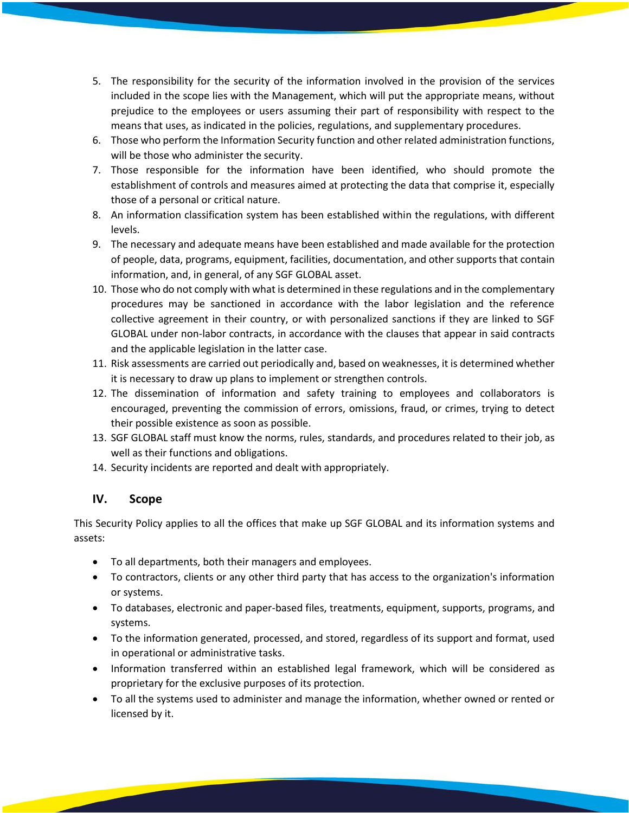- 5. The responsibility for the security of the information involved in the provision of the services included in the scope lies with the Management, which will put the appropriate means, without prejudice to the employees or users assuming their part of responsibility with respect to the means that uses, as indicated in the policies, regulations, and supplementary procedures.
- 6. Those who perform the Information Security function and other related administration functions, will be those who administer the security.
- 7. Those responsible for the information have been identified, who should promote the establishment of controls and measures aimed at protecting the data that comprise it, especially those of a personal or critical nature.
- 8. An information classification system has been established within the regulations, with different levels.
- 9. The necessary and adequate means have been established and made available for the protection of people, data, programs, equipment, facilities, documentation, and other supports that contain information, and, in general, of any SGF GLOBAL asset.
- 10. Those who do not comply with what is determined in these regulations and in the complementary procedures may be sanctioned in accordance with the labor legislation and the reference collective agreement in their country, or with personalized sanctions if they are linked to SGF GLOBAL under non-labor contracts, in accordance with the clauses that appear in said contracts and the applicable legislation in the latter case.
- 11. Risk assessments are carried out periodically and, based on weaknesses, it is determined whether it is necessary to draw up plans to implement or strengthen controls.
- 12. The dissemination of information and safety training to employees and collaborators is encouraged, preventing the commission of errors, omissions, fraud, or crimes, trying to detect their possible existence as soon as possible.
- 13. SGF GLOBAL staff must know the norms, rules, standards, and procedures related to their job, as well as their functions and obligations.
- 14. Security incidents are reported and dealt with appropriately.

# **IV. Scope**

This Security Policy applies to all the offices that make up SGF GLOBAL and its information systems and assets:

- To all departments, both their managers and employees.
- To contractors, clients or any other third party that has access to the organization's information or systems.
- To databases, electronic and paper-based files, treatments, equipment, supports, programs, and systems.
- To the information generated, processed, and stored, regardless of its support and format, used in operational or administrative tasks.
- Information transferred within an established legal framework, which will be considered as proprietary for the exclusive purposes of its protection.
- To all the systems used to administer and manage the information, whether owned or rented or licensed by it.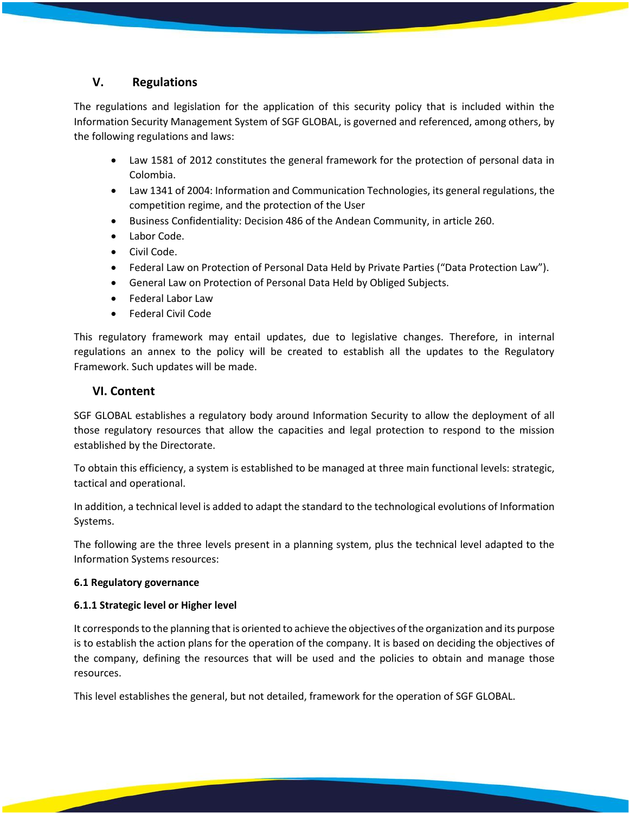# **V. Regulations**

The regulations and legislation for the application of this security policy that is included within the Information Security Management System of SGF GLOBAL, is governed and referenced, among others, by the following regulations and laws:

- Law 1581 of 2012 constitutes the general framework for the protection of personal data in Colombia.
- Law 1341 of 2004: Information and Communication Technologies, its general regulations, the competition regime, and the protection of the User
- Business Confidentiality: Decision 486 of the Andean Community, in article 260.
- Labor Code.
- Civil Code.
- Federal Law on Protection of Personal Data Held by Private Parties ("Data Protection Law").
- General Law on Protection of Personal Data Held by Obliged Subjects.
- Federal Labor Law
- Federal Civil Code

This regulatory framework may entail updates, due to legislative changes. Therefore, in internal regulations an annex to the policy will be created to establish all the updates to the Regulatory Framework. Such updates will be made.

# **VI. Content**

SGF GLOBAL establishes a regulatory body around Information Security to allow the deployment of all those regulatory resources that allow the capacities and legal protection to respond to the mission established by the Directorate.

To obtain this efficiency, a system is established to be managed at three main functional levels: strategic, tactical and operational.

In addition, a technical level is added to adapt the standard to the technological evolutions of Information Systems.

The following are the three levels present in a planning system, plus the technical level adapted to the Information Systems resources:

### **6.1 Regulatory governance**

### **6.1.1 Strategic level or Higher level**

It corresponds to the planning that is oriented to achieve the objectives of the organization and its purpose is to establish the action plans for the operation of the company. It is based on deciding the objectives of the company, defining the resources that will be used and the policies to obtain and manage those resources.

This level establishes the general, but not detailed, framework for the operation of SGF GLOBAL.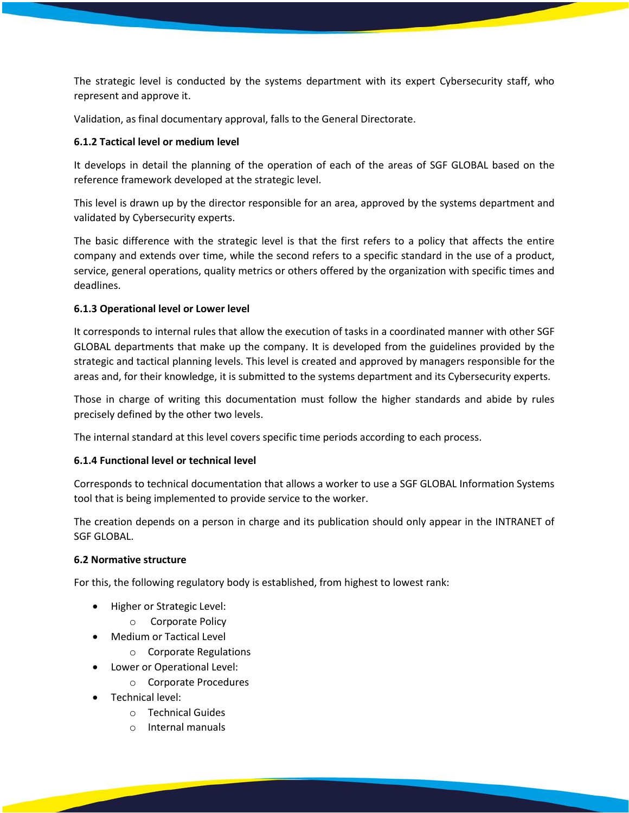The strategic level is conducted by the systems department with its expert Cybersecurity staff, who represent and approve it.

Validation, as final documentary approval, falls to the General Directorate.

### **6.1.2 Tactical level or medium level**

It develops in detail the planning of the operation of each of the areas of SGF GLOBAL based on the reference framework developed at the strategic level.

This level is drawn up by the director responsible for an area, approved by the systems department and validated by Cybersecurity experts.

The basic difference with the strategic level is that the first refers to a policy that affects the entire company and extends over time, while the second refers to a specific standard in the use of a product, service, general operations, quality metrics or others offered by the organization with specific times and deadlines.

### **6.1.3 Operational level or Lower level**

It corresponds to internal rules that allow the execution of tasks in a coordinated manner with other SGF GLOBAL departments that make up the company. It is developed from the guidelines provided by the strategic and tactical planning levels. This level is created and approved by managers responsible for the areas and, for their knowledge, it is submitted to the systems department and its Cybersecurity experts.

Those in charge of writing this documentation must follow the higher standards and abide by rules precisely defined by the other two levels.

The internal standard at this level covers specific time periods according to each process.

### **6.1.4 Functional level or technical level**

Corresponds to technical documentation that allows a worker to use a SGF GLOBAL Information Systems tool that is being implemented to provide service to the worker.

The creation depends on a person in charge and its publication should only appear in the INTRANET of SGF GLOBAL.

#### **6.2 Normative structure**

For this, the following regulatory body is established, from highest to lowest rank:

- Higher or Strategic Level:
	- o Corporate Policy
- Medium or Tactical Level
	- o Corporate Regulations
- Lower or Operational Level:
	- o Corporate Procedures
- Technical level:
	- o Technical Guides
	- o Internal manuals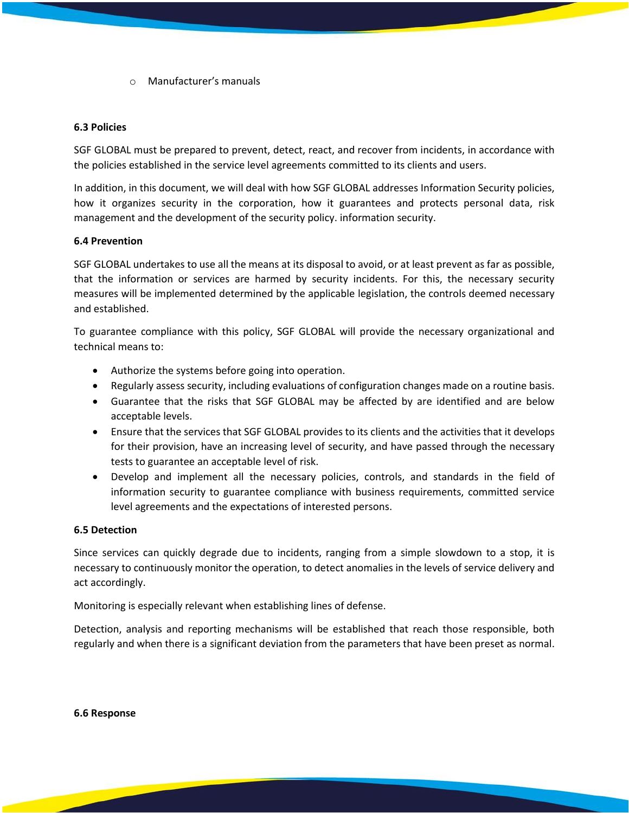o Manufacturer's manuals

### **6.3 Policies**

SGF GLOBAL must be prepared to prevent, detect, react, and recover from incidents, in accordance with the policies established in the service level agreements committed to its clients and users.

In addition, in this document, we will deal with how SGF GLOBAL addresses Information Security policies, how it organizes security in the corporation, how it guarantees and protects personal data, risk management and the development of the security policy. information security.

### **6.4 Prevention**

SGF GLOBAL undertakes to use all the means at its disposal to avoid, or at least prevent as far as possible, that the information or services are harmed by security incidents. For this, the necessary security measures will be implemented determined by the applicable legislation, the controls deemed necessary and established.

To guarantee compliance with this policy, SGF GLOBAL will provide the necessary organizational and technical means to:

- Authorize the systems before going into operation.
- Regularly assess security, including evaluations of configuration changes made on a routine basis.
- Guarantee that the risks that SGF GLOBAL may be affected by are identified and are below acceptable levels.
- Ensure that the services that SGF GLOBAL provides to its clients and the activities that it develops for their provision, have an increasing level of security, and have passed through the necessary tests to guarantee an acceptable level of risk.
- Develop and implement all the necessary policies, controls, and standards in the field of information security to guarantee compliance with business requirements, committed service level agreements and the expectations of interested persons.

#### **6.5 Detection**

Since services can quickly degrade due to incidents, ranging from a simple slowdown to a stop, it is necessary to continuously monitor the operation, to detect anomalies in the levels of service delivery and act accordingly.

Monitoring is especially relevant when establishing lines of defense.

Detection, analysis and reporting mechanisms will be established that reach those responsible, both regularly and when there is a significant deviation from the parameters that have been preset as normal.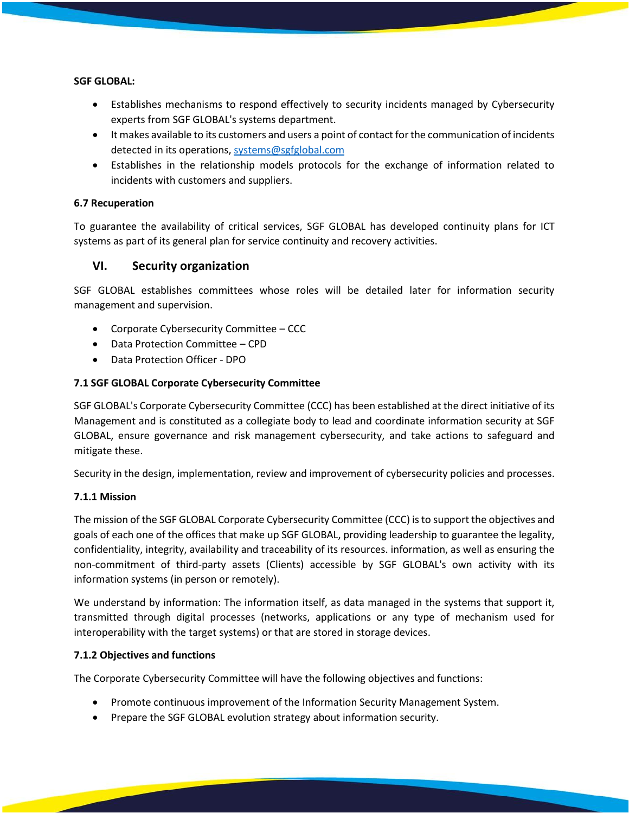#### **SGF GLOBAL:**

- Establishes mechanisms to respond effectively to security incidents managed by Cybersecurity experts from SGF GLOBAL's systems department.
- It makes available to its customers and users a point of contact for the communication of incidents detected in its operations, [systems@sgfglobal.com](mailto:systems@sgfglobal.com)
- Establishes in the relationship models protocols for the exchange of information related to incidents with customers and suppliers.

### **6.7 Recuperation**

To guarantee the availability of critical services, SGF GLOBAL has developed continuity plans for ICT systems as part of its general plan for service continuity and recovery activities.

# **VI. Security organization**

SGF GLOBAL establishes committees whose roles will be detailed later for information security management and supervision.

- Corporate Cybersecurity Committee CCC
- Data Protection Committee CPD
- Data Protection Officer DPO

### **7.1 SGF GLOBAL Corporate Cybersecurity Committee**

SGF GLOBAL's Corporate Cybersecurity Committee (CCC) has been established at the direct initiative of its Management and is constituted as a collegiate body to lead and coordinate information security at SGF GLOBAL, ensure governance and risk management cybersecurity, and take actions to safeguard and mitigate these.

Security in the design, implementation, review and improvement of cybersecurity policies and processes.

### **7.1.1 Mission**

The mission of the SGF GLOBAL Corporate Cybersecurity Committee (CCC) is to support the objectives and goals of each one of the offices that make up SGF GLOBAL, providing leadership to guarantee the legality, confidentiality, integrity, availability and traceability of its resources. information, as well as ensuring the non-commitment of third-party assets (Clients) accessible by SGF GLOBAL's own activity with its information systems (in person or remotely).

We understand by information: The information itself, as data managed in the systems that support it, transmitted through digital processes (networks, applications or any type of mechanism used for interoperability with the target systems) or that are stored in storage devices.

### **7.1.2 Objectives and functions**

The Corporate Cybersecurity Committee will have the following objectives and functions:

- Promote continuous improvement of the Information Security Management System.
- Prepare the SGF GLOBAL evolution strategy about information security.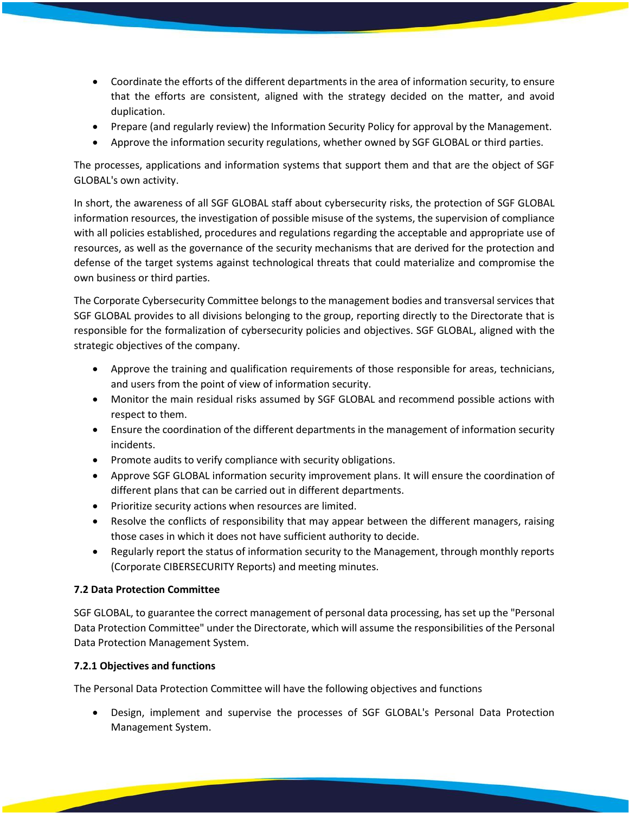- Coordinate the efforts of the different departments in the area of information security, to ensure that the efforts are consistent, aligned with the strategy decided on the matter, and avoid duplication.
- Prepare (and regularly review) the Information Security Policy for approval by the Management.
- Approve the information security regulations, whether owned by SGF GLOBAL or third parties.

The processes, applications and information systems that support them and that are the object of SGF GLOBAL's own activity.

In short, the awareness of all SGF GLOBAL staff about cybersecurity risks, the protection of SGF GLOBAL information resources, the investigation of possible misuse of the systems, the supervision of compliance with all policies established, procedures and regulations regarding the acceptable and appropriate use of resources, as well as the governance of the security mechanisms that are derived for the protection and defense of the target systems against technological threats that could materialize and compromise the own business or third parties.

The Corporate Cybersecurity Committee belongs to the management bodies and transversal services that SGF GLOBAL provides to all divisions belonging to the group, reporting directly to the Directorate that is responsible for the formalization of cybersecurity policies and objectives. SGF GLOBAL, aligned with the strategic objectives of the company.

- Approve the training and qualification requirements of those responsible for areas, technicians, and users from the point of view of information security.
- Monitor the main residual risks assumed by SGF GLOBAL and recommend possible actions with respect to them.
- Ensure the coordination of the different departments in the management of information security incidents.
- Promote audits to verify compliance with security obligations.
- Approve SGF GLOBAL information security improvement plans. It will ensure the coordination of different plans that can be carried out in different departments.
- Prioritize security actions when resources are limited.
- Resolve the conflicts of responsibility that may appear between the different managers, raising those cases in which it does not have sufficient authority to decide.
- Regularly report the status of information security to the Management, through monthly reports (Corporate CIBERSECURITY Reports) and meeting minutes.

### **7.2 Data Protection Committee**

SGF GLOBAL, to guarantee the correct management of personal data processing, has set up the "Personal Data Protection Committee" under the Directorate, which will assume the responsibilities of the Personal Data Protection Management System.

# **7.2.1 Objectives and functions**

The Personal Data Protection Committee will have the following objectives and functions

• Design, implement and supervise the processes of SGF GLOBAL's Personal Data Protection Management System.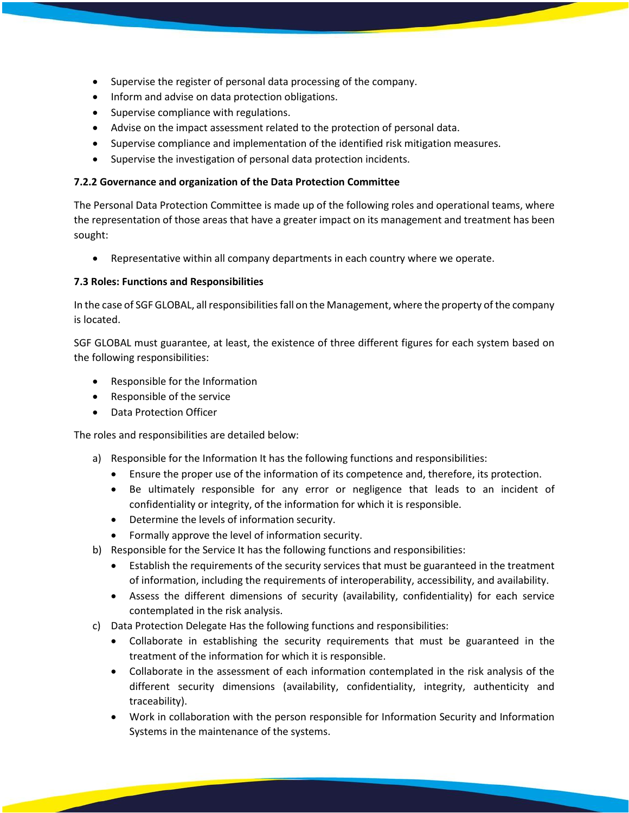- Supervise the register of personal data processing of the company.
- Inform and advise on data protection obligations.
- Supervise compliance with regulations.
- Advise on the impact assessment related to the protection of personal data.
- Supervise compliance and implementation of the identified risk mitigation measures.
- Supervise the investigation of personal data protection incidents.

### **7.2.2 Governance and organization of the Data Protection Committee**

The Personal Data Protection Committee is made up of the following roles and operational teams, where the representation of those areas that have a greater impact on its management and treatment has been sought:

• Representative within all company departments in each country where we operate.

### **7.3 Roles: Functions and Responsibilities**

In the case of SGF GLOBAL, all responsibilities fall on the Management, where the property of the company is located.

SGF GLOBAL must guarantee, at least, the existence of three different figures for each system based on the following responsibilities:

- Responsible for the Information
- Responsible of the service
- Data Protection Officer

The roles and responsibilities are detailed below:

- a) Responsible for the Information It has the following functions and responsibilities:
	- Ensure the proper use of the information of its competence and, therefore, its protection.
	- Be ultimately responsible for any error or negligence that leads to an incident of confidentiality or integrity, of the information for which it is responsible.
	- Determine the levels of information security.
	- Formally approve the level of information security.
- b) Responsible for the Service It has the following functions and responsibilities:
	- Establish the requirements of the security services that must be guaranteed in the treatment of information, including the requirements of interoperability, accessibility, and availability.
	- Assess the different dimensions of security (availability, confidentiality) for each service contemplated in the risk analysis.
- c) Data Protection Delegate Has the following functions and responsibilities:
	- Collaborate in establishing the security requirements that must be guaranteed in the treatment of the information for which it is responsible.
	- Collaborate in the assessment of each information contemplated in the risk analysis of the different security dimensions (availability, confidentiality, integrity, authenticity and traceability).
	- Work in collaboration with the person responsible for Information Security and Information Systems in the maintenance of the systems.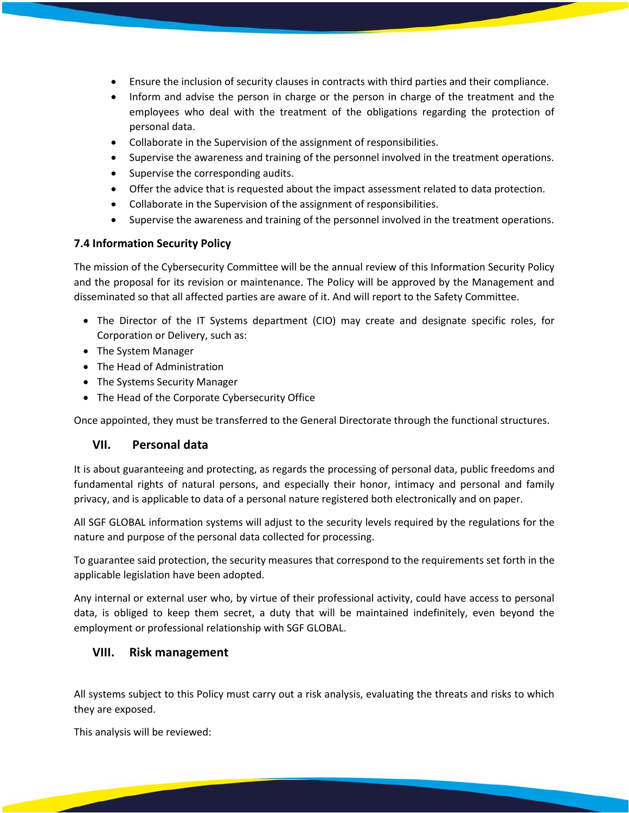- Ensure the inclusion of security clauses in contracts with third parties and their compliance.
- Inform and advise the person in charge or the person in charge of the treatment and the employees who deal with the treatment of the obligations regarding the protection of personal data.
- Collaborate in the Supervision of the assignment of responsibilities.
- Supervise the awareness and training of the personnel involved in the treatment operations.
- Supervise the corresponding audits.
- Offer the advice that is requested about the impact assessment related to data protection.
- Collaborate in the Supervision of the assignment of responsibilities.
- Supervise the awareness and training of the personnel involved in the treatment operations.

### **7.4 Information Security Policy**

The mission of the Cybersecurity Committee will be the annual review of this Information Security Policy and the proposal for its revision or maintenance. The Policy will be approved by the Management and disseminated so that all affected parties are aware of it. And will report to the Safety Committee.

- The Director of the IT Systems department (CIO) may create and designate specific roles, for Corporation or Delivery, such as:
- The System Manager
- The Head of Administration
- The Systems Security Manager
- The Head of the Corporate Cybersecurity Office

Once appointed, they must be transferred to the General Directorate through the functional structures.

# **VII. Personal data**

It is about guaranteeing and protecting, as regards the processing of personal data, public freedoms and fundamental rights of natural persons, and especially their honor, intimacy and personal and family privacy, and is applicable to data of a personal nature registered both electronically and on paper.

All SGF GLOBAL information systems will adjust to the security levels required by the regulations for the nature and purpose of the personal data collected for processing.

To guarantee said protection, the security measures that correspond to the requirements set forth in the applicable legislation have been adopted.

Any internal or external user who, by virtue of their professional activity, could have access to personal data, is obliged to keep them secret, a duty that will be maintained indefinitely, even beyond the employment or professional relationship with SGF GLOBAL.

# **VIII. Risk management**

All systems subject to this Policy must carry out a risk analysis, evaluating the threats and risks to which they are exposed.

This analysis will be reviewed: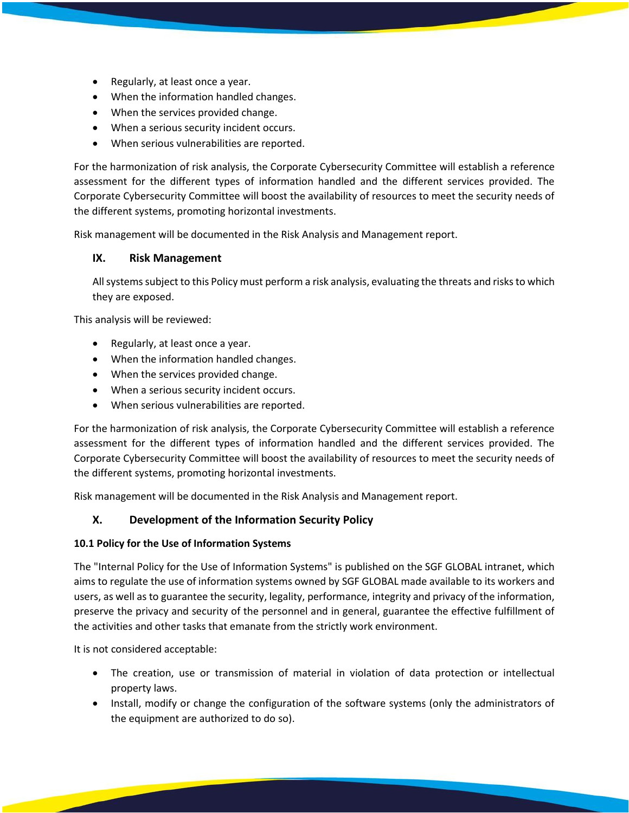- Regularly, at least once a year.
- When the information handled changes.
- When the services provided change.
- When a serious security incident occurs.
- When serious vulnerabilities are reported.

For the harmonization of risk analysis, the Corporate Cybersecurity Committee will establish a reference assessment for the different types of information handled and the different services provided. The Corporate Cybersecurity Committee will boost the availability of resources to meet the security needs of the different systems, promoting horizontal investments.

Risk management will be documented in the Risk Analysis and Management report.

### **IX. Risk Management**

All systems subject to this Policy must perform a risk analysis, evaluating the threats and risks to which they are exposed.

This analysis will be reviewed:

- Regularly, at least once a year.
- When the information handled changes.
- When the services provided change.
- When a serious security incident occurs.
- When serious vulnerabilities are reported.

For the harmonization of risk analysis, the Corporate Cybersecurity Committee will establish a reference assessment for the different types of information handled and the different services provided. The Corporate Cybersecurity Committee will boost the availability of resources to meet the security needs of the different systems, promoting horizontal investments.

Risk management will be documented in the Risk Analysis and Management report.

### **X. Development of the Information Security Policy**

### **10.1 Policy for the Use of Information Systems**

The "Internal Policy for the Use of Information Systems" is published on the SGF GLOBAL intranet, which aims to regulate the use of information systems owned by SGF GLOBAL made available to its workers and users, as well as to guarantee the security, legality, performance, integrity and privacy of the information, preserve the privacy and security of the personnel and in general, guarantee the effective fulfillment of the activities and other tasks that emanate from the strictly work environment.

It is not considered acceptable:

- The creation, use or transmission of material in violation of data protection or intellectual property laws.
- Install, modify or change the configuration of the software systems (only the administrators of the equipment are authorized to do so).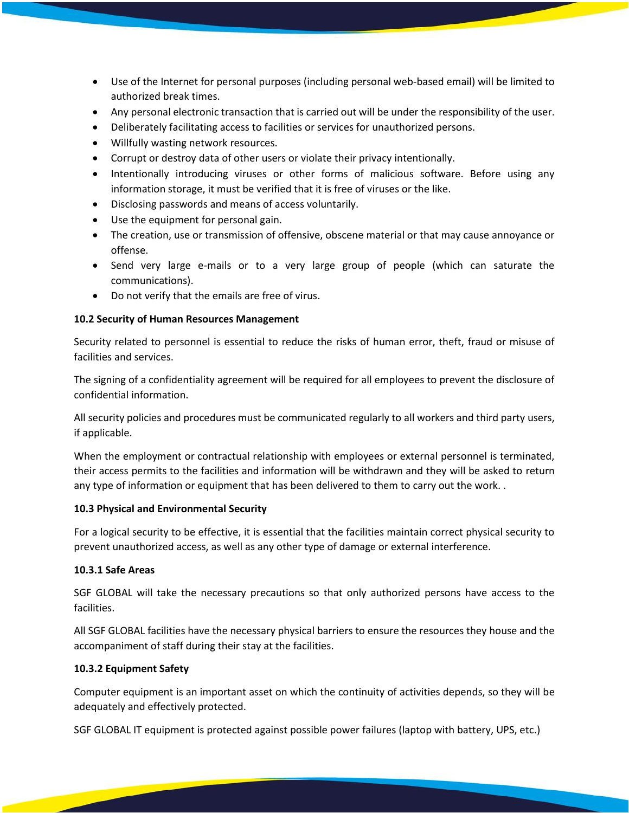- Use of the Internet for personal purposes (including personal web-based email) will be limited to authorized break times.
- Any personal electronic transaction that is carried out will be under the responsibility of the user.
- Deliberately facilitating access to facilities or services for unauthorized persons.
- Willfully wasting network resources.
- Corrupt or destroy data of other users or violate their privacy intentionally.
- Intentionally introducing viruses or other forms of malicious software. Before using any information storage, it must be verified that it is free of viruses or the like.
- Disclosing passwords and means of access voluntarily.
- Use the equipment for personal gain.
- The creation, use or transmission of offensive, obscene material or that may cause annoyance or offense.
- Send very large e-mails or to a very large group of people (which can saturate the communications).
- Do not verify that the emails are free of virus.

### **10.2 Security of Human Resources Management**

Security related to personnel is essential to reduce the risks of human error, theft, fraud or misuse of facilities and services.

The signing of a confidentiality agreement will be required for all employees to prevent the disclosure of confidential information.

All security policies and procedures must be communicated regularly to all workers and third party users, if applicable.

When the employment or contractual relationship with employees or external personnel is terminated, their access permits to the facilities and information will be withdrawn and they will be asked to return any type of information or equipment that has been delivered to them to carry out the work. .

### **10.3 Physical and Environmental Security**

For a logical security to be effective, it is essential that the facilities maintain correct physical security to prevent unauthorized access, as well as any other type of damage or external interference.

### **10.3.1 Safe Areas**

SGF GLOBAL will take the necessary precautions so that only authorized persons have access to the facilities.

All SGF GLOBAL facilities have the necessary physical barriers to ensure the resources they house and the accompaniment of staff during their stay at the facilities.

### **10.3.2 Equipment Safety**

Computer equipment is an important asset on which the continuity of activities depends, so they will be adequately and effectively protected.

SGF GLOBAL IT equipment is protected against possible power failures (laptop with battery, UPS, etc.)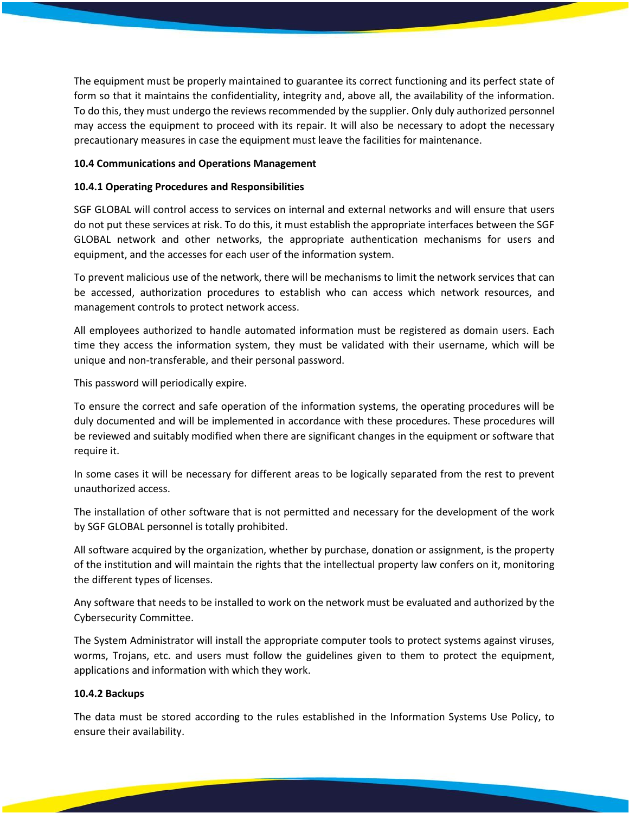The equipment must be properly maintained to guarantee its correct functioning and its perfect state of form so that it maintains the confidentiality, integrity and, above all, the availability of the information. To do this, they must undergo the reviews recommended by the supplier. Only duly authorized personnel may access the equipment to proceed with its repair. It will also be necessary to adopt the necessary precautionary measures in case the equipment must leave the facilities for maintenance.

### **10.4 Communications and Operations Management**

### **10.4.1 Operating Procedures and Responsibilities**

SGF GLOBAL will control access to services on internal and external networks and will ensure that users do not put these services at risk. To do this, it must establish the appropriate interfaces between the SGF GLOBAL network and other networks, the appropriate authentication mechanisms for users and equipment, and the accesses for each user of the information system.

To prevent malicious use of the network, there will be mechanisms to limit the network services that can be accessed, authorization procedures to establish who can access which network resources, and management controls to protect network access.

All employees authorized to handle automated information must be registered as domain users. Each time they access the information system, they must be validated with their username, which will be unique and non-transferable, and their personal password.

This password will periodically expire.

To ensure the correct and safe operation of the information systems, the operating procedures will be duly documented and will be implemented in accordance with these procedures. These procedures will be reviewed and suitably modified when there are significant changes in the equipment or software that require it.

In some cases it will be necessary for different areas to be logically separated from the rest to prevent unauthorized access.

The installation of other software that is not permitted and necessary for the development of the work by SGF GLOBAL personnel is totally prohibited.

All software acquired by the organization, whether by purchase, donation or assignment, is the property of the institution and will maintain the rights that the intellectual property law confers on it, monitoring the different types of licenses.

Any software that needs to be installed to work on the network must be evaluated and authorized by the Cybersecurity Committee.

The System Administrator will install the appropriate computer tools to protect systems against viruses, worms, Trojans, etc. and users must follow the guidelines given to them to protect the equipment, applications and information with which they work.

### **10.4.2 Backups**

The data must be stored according to the rules established in the Information Systems Use Policy, to ensure their availability.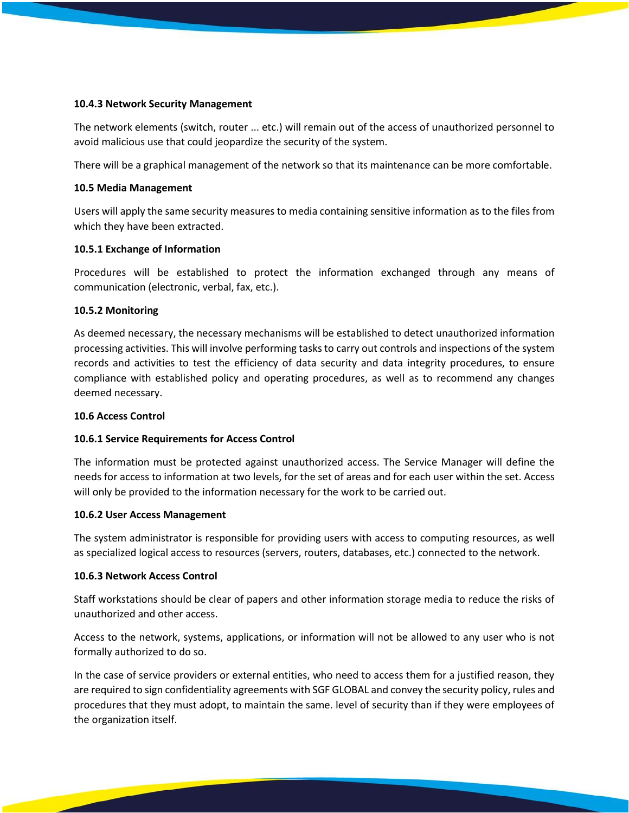#### **10.4.3 Network Security Management**

The network elements (switch, router ... etc.) will remain out of the access of unauthorized personnel to avoid malicious use that could jeopardize the security of the system.

There will be a graphical management of the network so that its maintenance can be more comfortable.

### **10.5 Media Management**

Users will apply the same security measures to media containing sensitive information as to the files from which they have been extracted.

### **10.5.1 Exchange of Information**

Procedures will be established to protect the information exchanged through any means of communication (electronic, verbal, fax, etc.).

### **10.5.2 Monitoring**

As deemed necessary, the necessary mechanisms will be established to detect unauthorized information processing activities. This will involve performing tasks to carry out controls and inspections of the system records and activities to test the efficiency of data security and data integrity procedures, to ensure compliance with established policy and operating procedures, as well as to recommend any changes deemed necessary.

#### **10.6 Access Control**

### **10.6.1 Service Requirements for Access Control**

The information must be protected against unauthorized access. The Service Manager will define the needs for access to information at two levels, for the set of areas and for each user within the set. Access will only be provided to the information necessary for the work to be carried out.

#### **10.6.2 User Access Management**

The system administrator is responsible for providing users with access to computing resources, as well as specialized logical access to resources (servers, routers, databases, etc.) connected to the network.

### **10.6.3 Network Access Control**

Staff workstations should be clear of papers and other information storage media to reduce the risks of unauthorized and other access.

Access to the network, systems, applications, or information will not be allowed to any user who is not formally authorized to do so.

In the case of service providers or external entities, who need to access them for a justified reason, they are required to sign confidentiality agreements with SGF GLOBAL and convey the security policy, rules and procedures that they must adopt, to maintain the same. level of security than if they were employees of the organization itself.